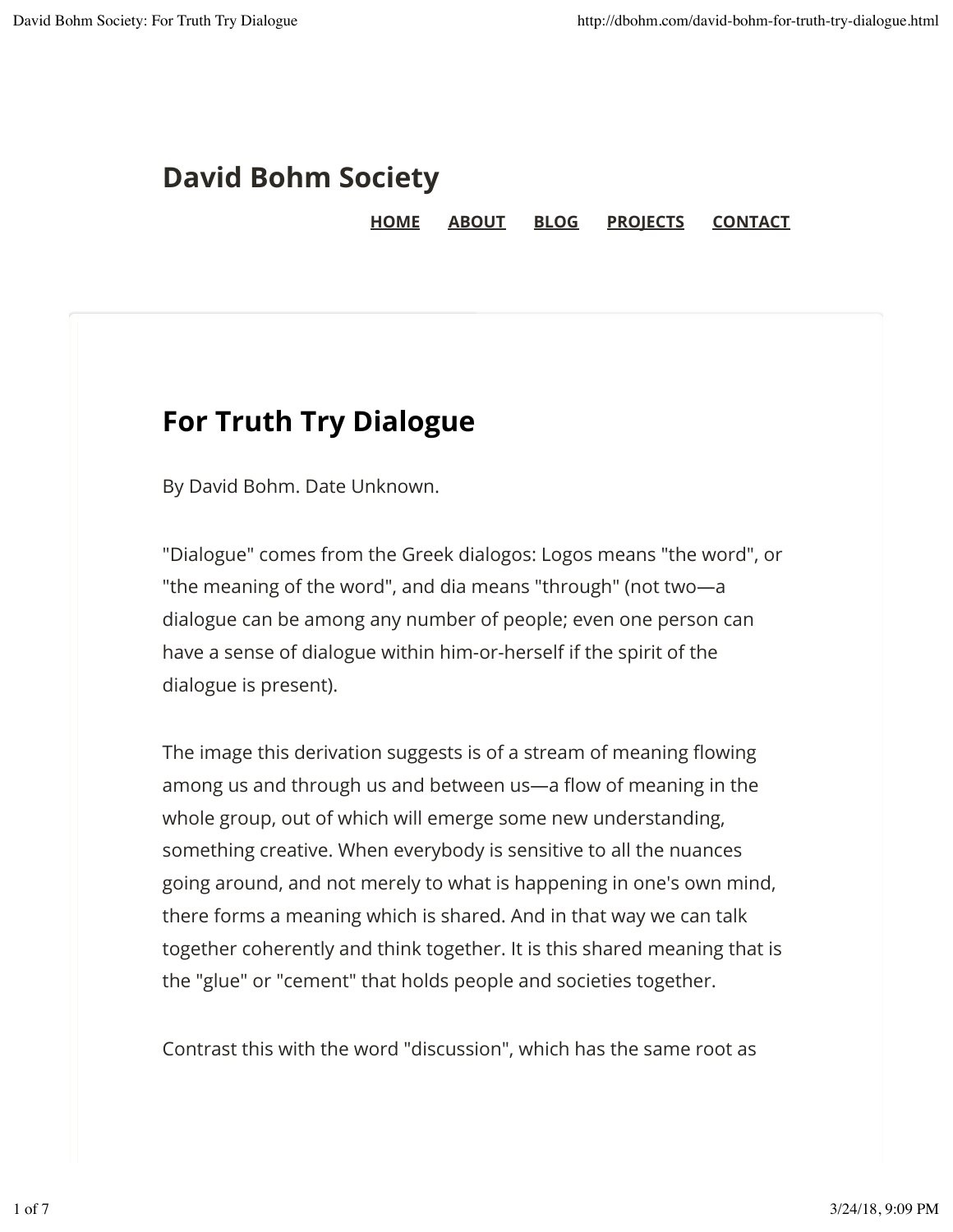## **David Bohm Society**

**HOME ABOUT BLOG PROJECTS CONTACT**

## **For Truth Try Dialogue**

By David Bohm. Date Unknown.

"Dialogue" comes from the Greek dialogos: Logos means "the word", or "the meaning of the word", and dia means "through" (not two—a dialogue can be among any number of people; even one person can have a sense of dialogue within him-or-herself if the spirit of the dialogue is present).

The image this derivation suggests is of a stream of meaning flowing among us and through us and between us—a flow of meaning in the whole group, out of which will emerge some new understanding, something creative. When everybody is sensitive to all the nuances going around, and not merely to what is happening in one's own mind, there forms a meaning which is shared. And in that way we can talk together coherently and think together. It is this shared meaning that is the "glue" or "cement" that holds people and societies together.

Contrast this with the word "discussion", which has the same root as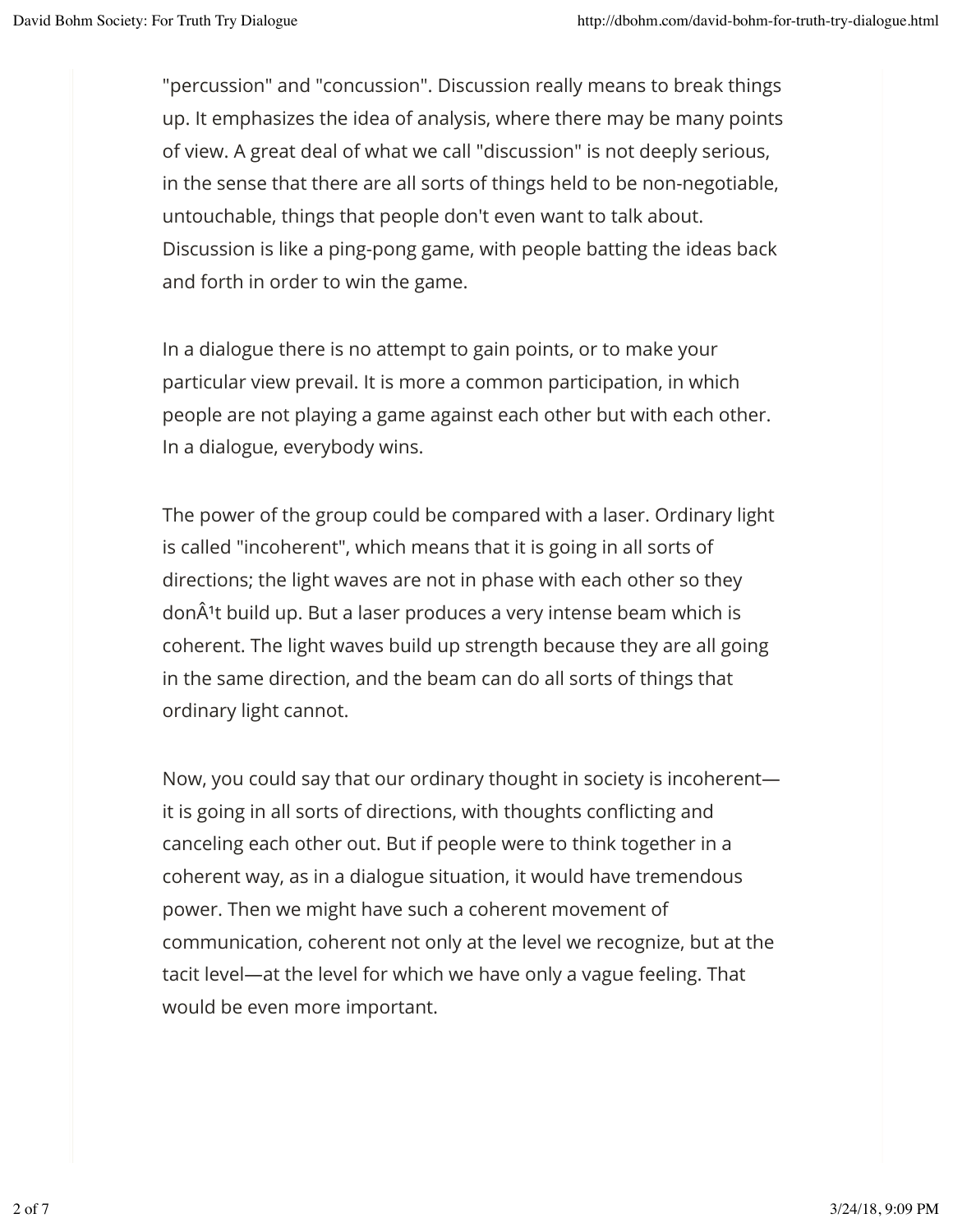"percussion" and "concussion". Discussion really means to break things up. It emphasizes the idea of analysis, where there may be many points of view. A great deal of what we call "discussion" is not deeply serious, in the sense that there are all sorts of things held to be non-negotiable, untouchable, things that people don't even want to talk about. Discussion is like a ping-pong game, with people batting the ideas back and forth in order to win the game.

In a dialogue there is no attempt to gain points, or to make your particular view prevail. It is more a common participation, in which people are not playing a game against each other but with each other. In a dialogue, everybody wins.

The power of the group could be compared with a laser. Ordinary light is called "incoherent", which means that it is going in all sorts of directions; the light waves are not in phase with each other so they donÂ<sup>1</sup>t build up. But a laser produces a very intense beam which is coherent. The light waves build up strength because they are all going in the same direction, and the beam can do all sorts of things that ordinary light cannot.

Now, you could say that our ordinary thought in society is incoherent it is going in all sorts of directions, with thoughts conflicting and canceling each other out. But if people were to think together in a coherent way, as in a dialogue situation, it would have tremendous power. Then we might have such a coherent movement of communication, coherent not only at the level we recognize, but at the tacit level—at the level for which we have only a vague feeling. That would be even more important.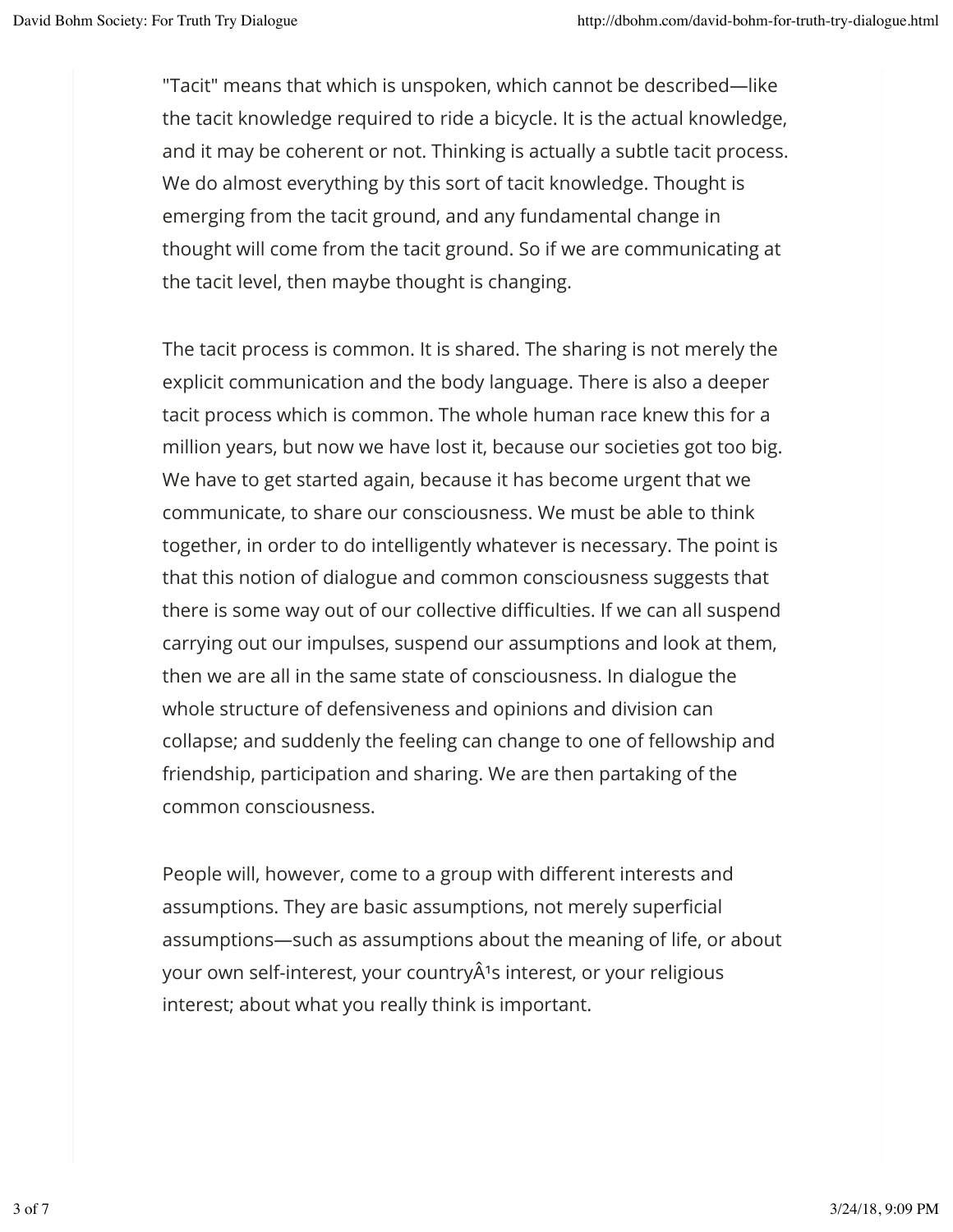"Tacit" means that which is unspoken, which cannot be described—like the tacit knowledge required to ride a bicycle. It is the actual knowledge, and it may be coherent or not. Thinking is actually a subtle tacit process. We do almost everything by this sort of tacit knowledge. Thought is emerging from the tacit ground, and any fundamental change in thought will come from the tacit ground. So if we are communicating at the tacit level, then maybe thought is changing.

The tacit process is common. It is shared. The sharing is not merely the explicit communication and the body language. There is also a deeper tacit process which is common. The whole human race knew this for a million years, but now we have lost it, because our societies got too big. We have to get started again, because it has become urgent that we communicate, to share our consciousness. We must be able to think together, in order to do intelligently whatever is necessary. The point is that this notion of dialogue and common consciousness suggests that there is some way out of our collective difficulties. If we can all suspend carrying out our impulses, suspend our assumptions and look at them, then we are all in the same state of consciousness. In dialogue the whole structure of defensiveness and opinions and division can collapse; and suddenly the feeling can change to one of fellowship and friendship, participation and sharing. We are then partaking of the common consciousness.

People will, however, come to a group with different interests and assumptions. They are basic assumptions, not merely superficial assumptions—such as assumptions about the meaning of life, or about your own self-interest, your countryÂ<sup>1</sup>s interest, or your religious interest; about what you really think is important.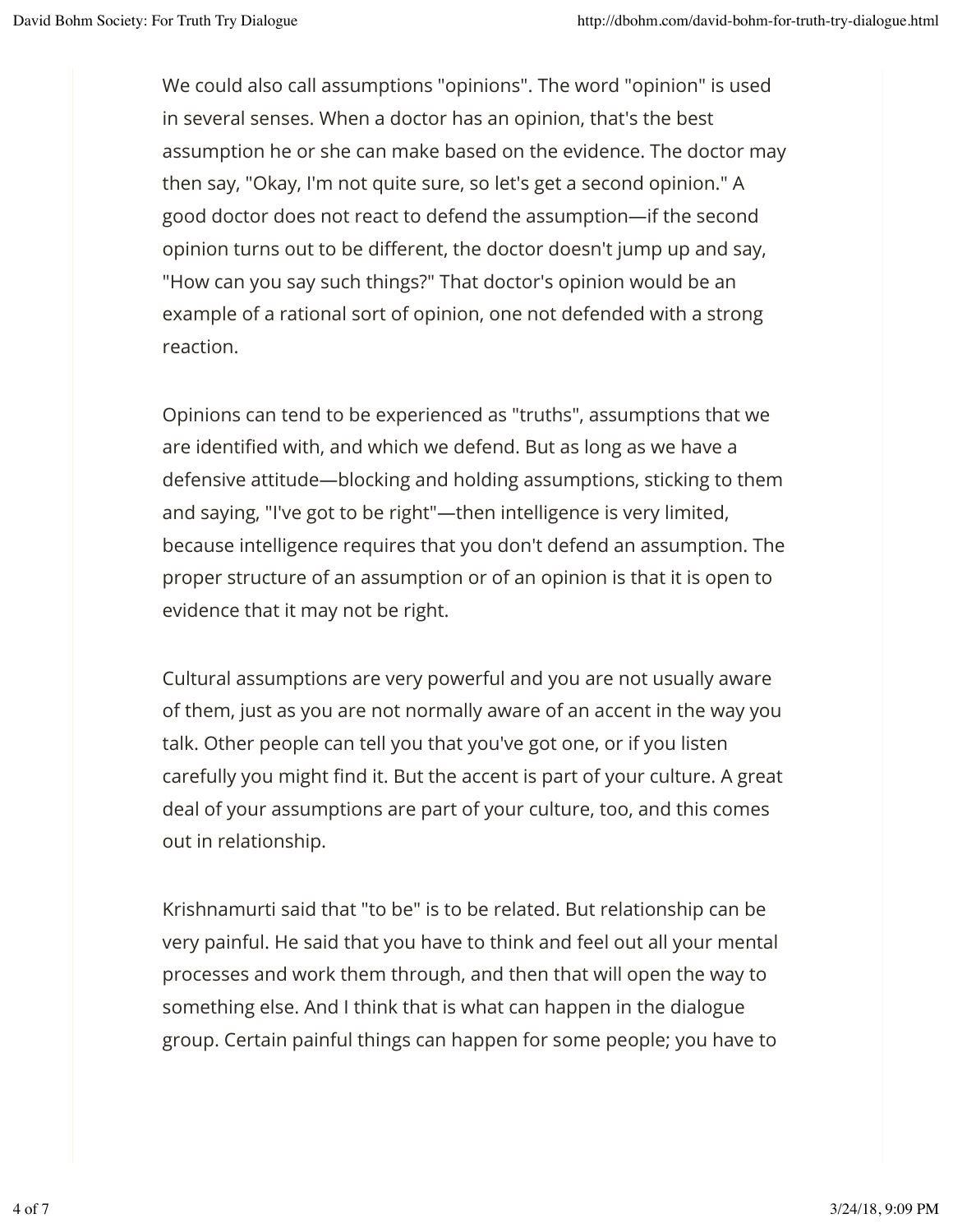We could also call assumptions "opinions". The word "opinion" is used in several senses. When a doctor has an opinion, that's the best assumption he or she can make based on the evidence. The doctor may then say, "Okay, I'm not quite sure, so let's get a second opinion." A good doctor does not react to defend the assumption—if the second opinion turns out to be different, the doctor doesn't jump up and say, "How can you say such things?" That doctor's opinion would be an example of a rational sort of opinion, one not defended with a strong reaction.

Opinions can tend to be experienced as "truths", assumptions that we are identified with, and which we defend. But as long as we have a defensive attitude—blocking and holding assumptions, sticking to them and saying, "I've got to be right"—then intelligence is very limited, because intelligence requires that you don't defend an assumption. The proper structure of an assumption or of an opinion is that it is open to evidence that it may not be right.

Cultural assumptions are very powerful and you are not usually aware of them, just as you are not normally aware of an accent in the way you talk. Other people can tell you that you've got one, or if you listen carefully you might find it. But the accent is part of your culture. A great deal of your assumptions are part of your culture, too, and this comes out in relationship.

Krishnamurti said that "to be" is to be related. But relationship can be very painful. He said that you have to think and feel out all your mental processes and work them through, and then that will open the way to something else. And I think that is what can happen in the dialogue group. Certain painful things can happen for some people; you have to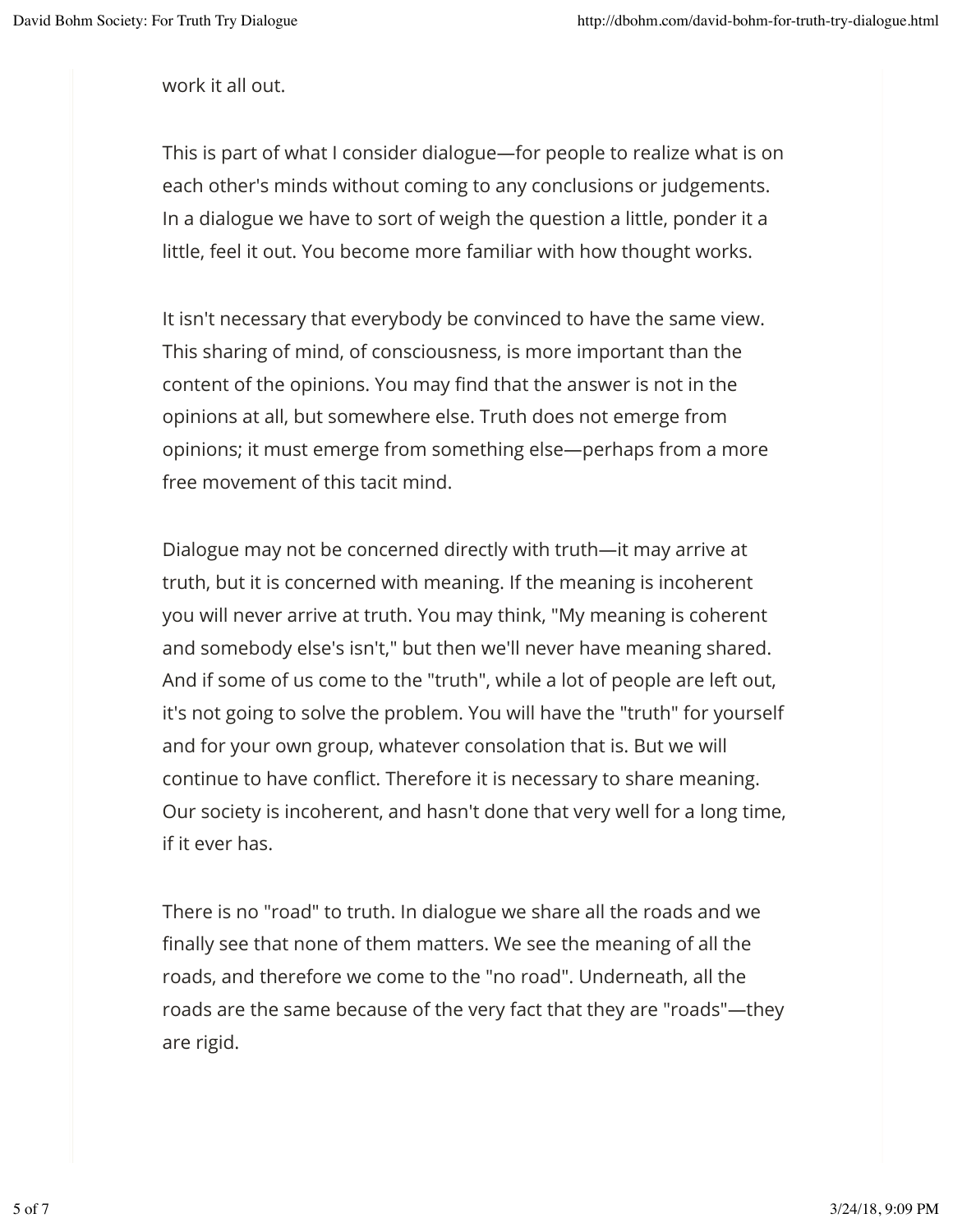work it all out.

This is part of what I consider dialogue—for people to realize what is on each other's minds without coming to any conclusions or judgements. In a dialogue we have to sort of weigh the question a little, ponder it a little, feel it out. You become more familiar with how thought works.

It isn't necessary that everybody be convinced to have the same view. This sharing of mind, of consciousness, is more important than the content of the opinions. You may find that the answer is not in the opinions at all, but somewhere else. Truth does not emerge from opinions; it must emerge from something else—perhaps from a more free movement of this tacit mind.

Dialogue may not be concerned directly with truth—it may arrive at truth, but it is concerned with meaning. If the meaning is incoherent you will never arrive at truth. You may think, "My meaning is coherent and somebody else's isn't," but then we'll never have meaning shared. And if some of us come to the "truth", while a lot of people are left out, it's not going to solve the problem. You will have the "truth" for yourself and for your own group, whatever consolation that is. But we will continue to have conflict. Therefore it is necessary to share meaning. Our society is incoherent, and hasn't done that very well for a long time, if it ever has.

There is no "road" to truth. In dialogue we share all the roads and we finally see that none of them matters. We see the meaning of all the roads, and therefore we come to the "no road". Underneath, all the roads are the same because of the very fact that they are "roads"—they are rigid.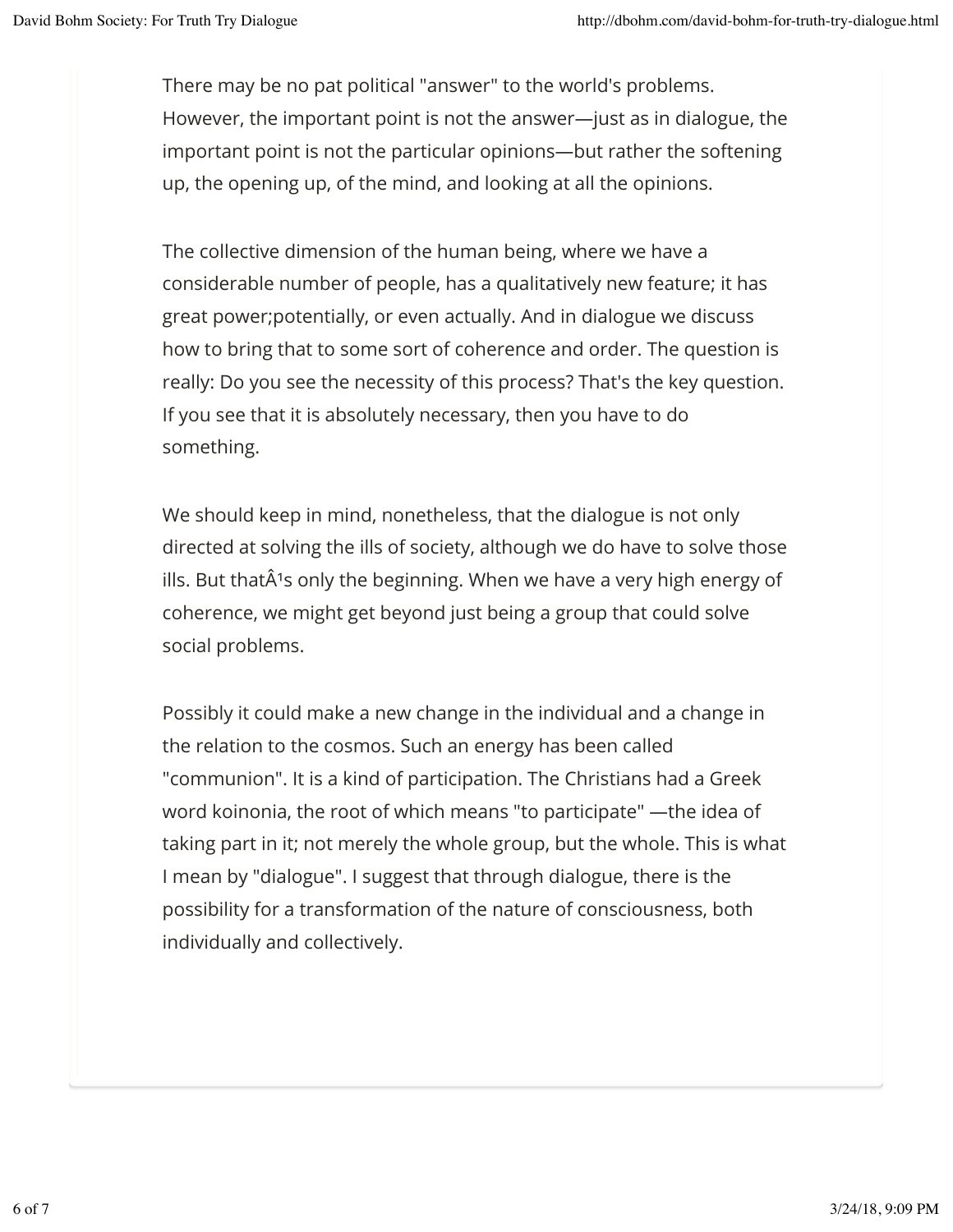There may be no pat political "answer" to the world's problems. However, the important point is not the answer—just as in dialogue, the important point is not the particular opinions—but rather the softening up, the opening up, of the mind, and looking at all the opinions.

The collective dimension of the human being, where we have a considerable number of people, has a qualitatively new feature; it has great power;potentially, or even actually. And in dialogue we discuss how to bring that to some sort of coherence and order. The question is really: Do you see the necessity of this process? That's the key question. If you see that it is absolutely necessary, then you have to do something.

We should keep in mind, nonetheless, that the dialogue is not only directed at solving the ills of society, although we do have to solve those ills. But that $\hat{A}$ 's only the beginning. When we have a very high energy of coherence, we might get beyond just being a group that could solve social problems.

Possibly it could make a new change in the individual and a change in the relation to the cosmos. Such an energy has been called "communion". It is a kind of participation. The Christians had a Greek word koinonia, the root of which means "to participate" —the idea of taking part in it; not merely the whole group, but the whole. This is what I mean by "dialogue". I suggest that through dialogue, there is the possibility for a transformation of the nature of consciousness, both individually and collectively.